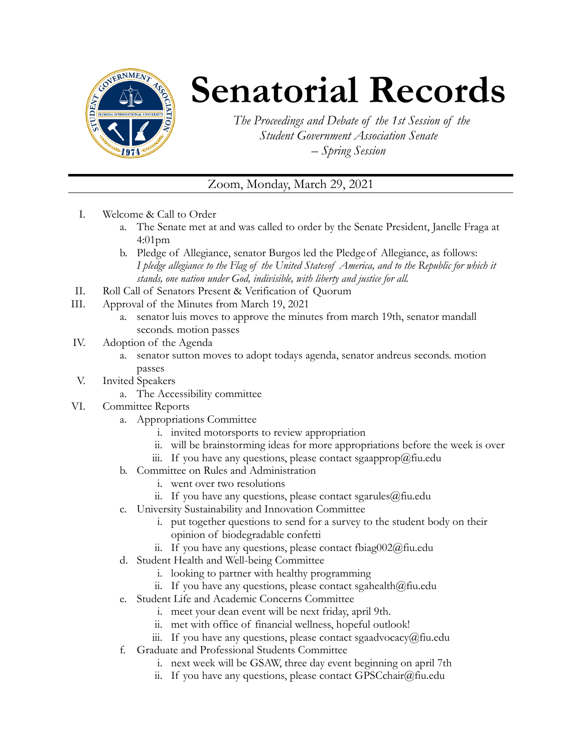

## **Senatorial Records**

*The Proceedings and Debate of the 1st Session of the Student Government Association Senate – Spring Session*

## Zoom, Monday, March 29, 2021

- I. Welcome & Call to Order
	- a. The Senate met at and was called to order by the Senate President, Janelle Fraga at 4:01pm
	- b. Pledge of Allegiance, senator Burgos led the Pledgeof Allegiance, as follows: *I pledge allegiance to the Flag of the United Statesof America, and to the Republic for which it stands, one nation under God, indivisible, with liberty and justice for all.*
- II. Roll Call of Senators Present & Verification of Quorum
- III. Approval of the Minutes from March 19, 2021
	- a. senator luis moves to approve the minutes from march 19th, senator mandall seconds. motion passes
- IV. Adoption of the Agenda
	- a. senator sutton moves to adopt todays agenda, senator andreus seconds. motion passes
- V. Invited Speakers
	- a. The Accessibility committee
- VI. Committee Reports
	- a. Appropriations Committee
		- i. invited motorsports to review appropriation
		- ii. will be brainstorming ideas for more appropriations before the week is over
		- iii. If you have any questions, please contact sgaapprop $@$ fiu.edu
	- b. Committee on Rules and Administration
		- i. went over two resolutions
		- ii. If you have any questions, please contact sgarules $@$ fiu.edu
	- c. University Sustainability and Innovation Committee
		- i. put together questions to send for a survey to the student body on their opinion of biodegradable confetti
		- ii. If you have any questions, please contact fbiag002@fiu.edu
	- d. Student Health and Well-being Committee
		- i. looking to partner with healthy programming
		- ii. If you have any questions, please contact sgahealth $@$ fiu.edu
	- e. Student Life and Academic Concerns Committee
		- i. meet your dean event will be next friday, april 9th.
		- ii. met with office of financial wellness, hopeful outlook!
		- iii. If you have any questions, please contact sgaadvocacy@fiu.edu
	- f. Graduate and Professional Students Committee
		- i. next week will be GSAW, three day event beginning on april 7th
		- ii. If you have any questions, please contact GPSCchair $@$ fiu.edu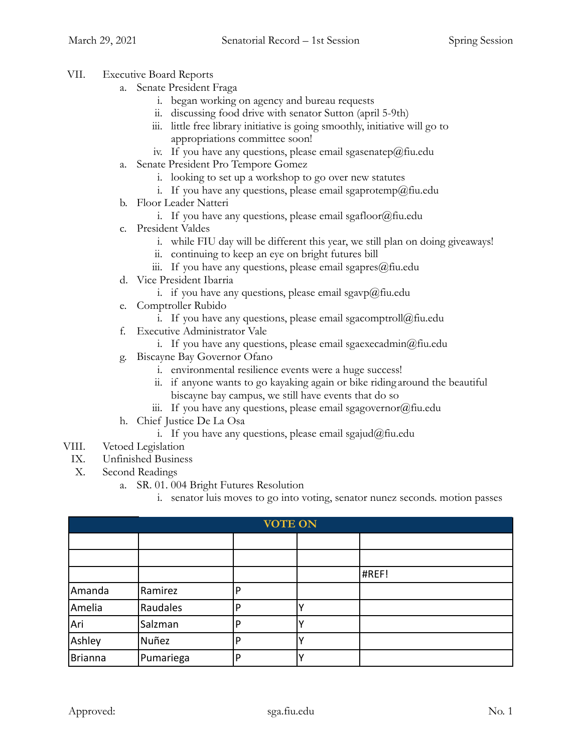- VII. Executive Board Reports
	- a. Senate President Fraga
		- i. began working on agency and bureau requests
		- ii. discussing food drive with senator Sutton (april 5-9th)
		- iii. little free library initiative is going smoothly, initiative will go to appropriations committee soon!
		- iv. If you have any questions, please email sgasenatep@fiu.edu
	- a. Senate President Pro Tempore Gomez
		- i. looking to set up a workshop to go over new statutes
		- i. If you have any questions, please email sgaprotemp@fiu.edu
	- b. Floor Leader Natteri
		- i. If you have any questions, please email sgafloor@fiu.edu
	- c. President Valdes
		- i. while FIU day will be different this year, we still plan on doing giveaways!
		- ii. continuing to keep an eye on bright futures bill
		- iii. If you have any questions, please email sgapres $@$ fiu.edu
	- d. Vice President Ibarria
		- i. if you have any questions, please email sgavp@fiu.edu
	- e. Comptroller Rubido
		- i. If you have any questions, please email sgacomptroll@fiu.edu
	- f. Executive Administrator Vale
		- i. If you have any questions, please email sgaexecadmin@fiu.edu
	- g. Biscayne Bay Governor Ofano
		- i. environmental resilience events were a huge success!
		- ii. if anyone wants to go kayaking again or bike riding around the beautiful biscayne bay campus, we still have events that do so
		- iii. If you have any questions, please email sgagovernor $@$ fiu.edu
	- h. Chief Justice De La Osa
		- i. If you have any questions, please email sgajud@fiu.edu
- VIII. Vetoed Legislation
- IX. Unfinished Business
- X. Second Readings
	- a. SR. 01. 004 Bright Futures Resolution
		- i. senator luis moves to go into voting, senator nunez seconds. motion passes

| <b>VOTE ON</b> |           |   |  |       |  |  |
|----------------|-----------|---|--|-------|--|--|
|                |           |   |  |       |  |  |
|                |           |   |  |       |  |  |
|                |           |   |  | #REF! |  |  |
| Amanda         | Ramirez   | D |  |       |  |  |
| Amelia         | Raudales  | D |  |       |  |  |
| Ari            | Salzman   | D |  |       |  |  |
| Ashley         | Nuñez     |   |  |       |  |  |
| Brianna        | Pumariega | D |  |       |  |  |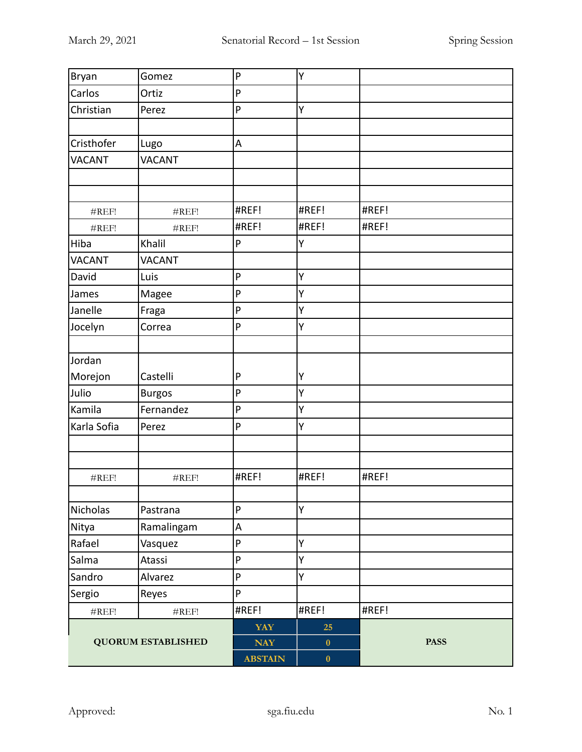| Bryan                     | Gomez             | P              | Υ         |             |
|---------------------------|-------------------|----------------|-----------|-------------|
| Carlos                    | Ortiz             | ${\sf P}$      |           |             |
| Christian                 | Perez             | P              | Υ         |             |
|                           |                   |                |           |             |
| Cristhofer                | Lugo              | A              |           |             |
| <b>VACANT</b>             | <b>VACANT</b>     |                |           |             |
|                           |                   |                |           |             |
|                           |                   |                |           |             |
| $\#\mathrm{REF}!$         | #REF!             | #REF!          | #REF!     | #REF!       |
| $\#\mathrm{REF}!$         | $\#\mathrm{REF}!$ | #REF!          | #REF!     | #REF!       |
| Hiba                      | Khalil            | $\mathsf{P}$   | Y         |             |
| VACANT                    | <b>VACANT</b>     |                |           |             |
| David                     | Luis              | $\mathsf{P}$   | Υ         |             |
| James                     | Magee             | P              | Υ         |             |
| Janelle                   | Fraga             | ${\sf P}$      | Υ         |             |
| Jocelyn                   | Correa            | ${\sf P}$      | Υ         |             |
|                           |                   |                |           |             |
| Jordan                    |                   |                |           |             |
| Morejon                   | Castelli          | P              | Υ         |             |
| Julio                     | <b>Burgos</b>     | P              | Υ         |             |
| Kamila                    | Fernandez         | P              | Y         |             |
| Karla Sofia               | Perez             | P              | Υ         |             |
|                           |                   |                |           |             |
|                           |                   |                |           |             |
| $\#\mathrm{REF}!$         | $\#\mathrm{REF}!$ | #REF!          | #REF!     | #REF!       |
|                           |                   |                |           |             |
| Nicholas                  | Pastrana          | $\mathsf{P}$   | Υ         |             |
| Nitya                     | Ramalingam        | A              |           |             |
| Rafael                    | Vasquez           | ${\sf P}$      | Υ         |             |
| Salma                     | Atassi            | P              | Υ         |             |
| Sandro                    | Alvarez           | ${\sf P}$      | Υ         |             |
| Sergio                    | Reyes             | P              |           |             |
| $\#\mathrm{REF}!$         | $\#\mathrm{REF}!$ | #REF!          | #REF!     | #REF!       |
| <b>QUORUM ESTABLISHED</b> |                   | <b>YAY</b>     | 25        | <b>PASS</b> |
|                           |                   | $\bold{NAY}$   | $\pmb{0}$ |             |
|                           |                   | <b>ABSTAIN</b> | $\pmb{0}$ |             |